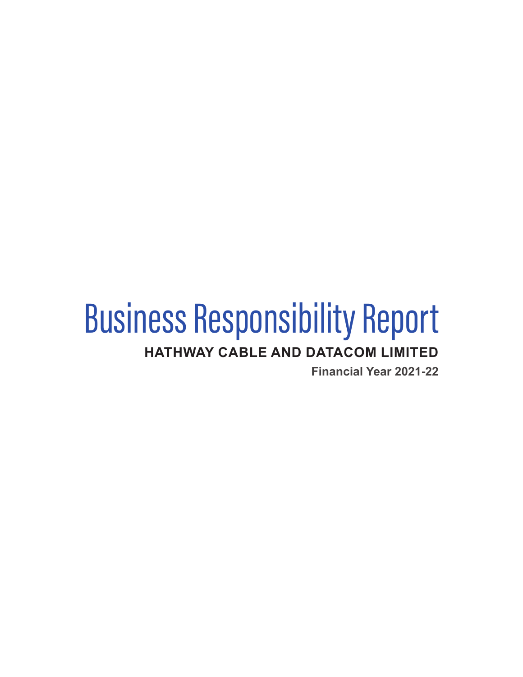# Business Responsibility Report **HATHWAY CABLE AND DATACOM LIMITED**

**Financial Year 2021-22**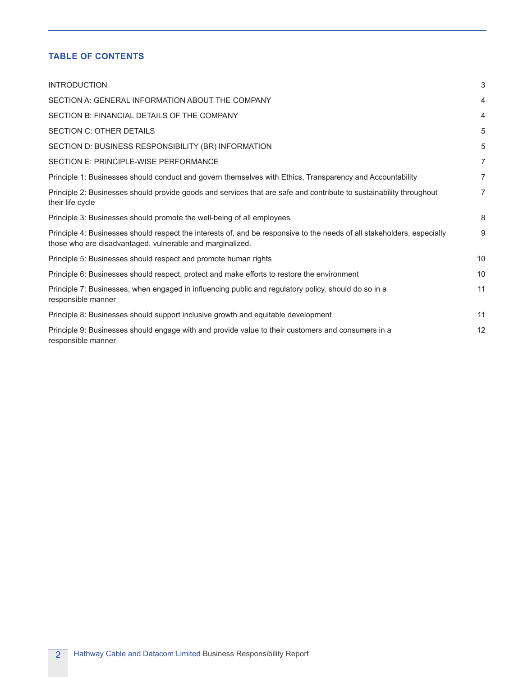# **TABLE OF CONTENTS**

| <b>INTRODUCTION</b>                                                                                                                                                                  | 3              |
|--------------------------------------------------------------------------------------------------------------------------------------------------------------------------------------|----------------|
| SECTION A: GENERAL INFORMATION ABOUT THE COMPANY                                                                                                                                     | $\overline{4}$ |
| SECTION B: FINANCIAL DETAILS OF THE COMPANY                                                                                                                                          | 4              |
| <b>SECTION C: OTHER DETAILS</b>                                                                                                                                                      | 5              |
| SECTION D: BUSINESS RESPONSIBILITY (BR) INFORMATION                                                                                                                                  | 5              |
| SECTION E: PRINCIPLE-WISE PERFORMANCE                                                                                                                                                | $\overline{7}$ |
| Principle 1: Businesses should conduct and govern themselves with Ethics, Transparency and Accountability                                                                            | $\overline{7}$ |
| Principle 2: Businesses should provide goods and services that are safe and contribute to sustainability throughout<br>their life cycle                                              | 7              |
| Principle 3: Businesses should promote the well-being of all employees                                                                                                               | 8              |
| Principle 4: Businesses should respect the interests of, and be responsive to the needs of all stakeholders, especially<br>those who are disadvantaged, vulnerable and marginalized. | 9              |
| Principle 5: Businesses should respect and promote human rights                                                                                                                      | 10             |
| Principle 6: Businesses should respect, protect and make efforts to restore the environment                                                                                          | 10             |
| Principle 7: Businesses, when engaged in influencing public and regulatory policy, should do so in a<br>responsible manner                                                           | 11             |
| Principle 8: Businesses should support inclusive growth and equitable development                                                                                                    | 11             |
| Principle 9: Businesses should engage with and provide value to their customers and consumers in a<br>responsible manner                                                             | 12             |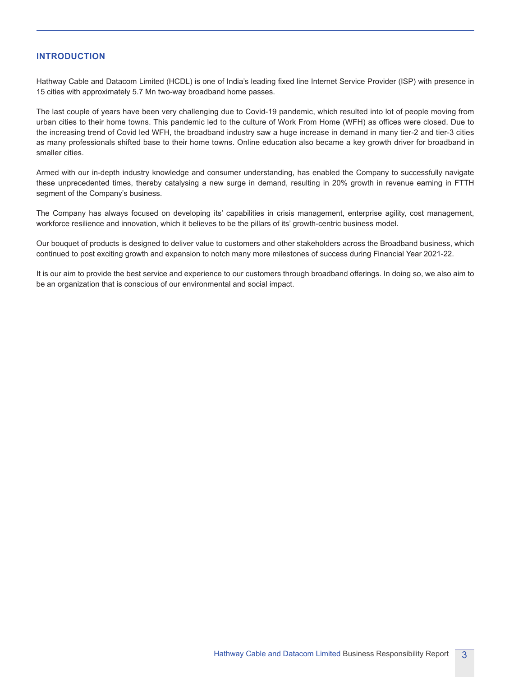## **INTRODUCTION**

Hathway Cable and Datacom Limited (HCDL) is one of India's leading fixed line Internet Service Provider (ISP) with presence in 15 cities with approximately 5.7 Mn two-way broadband home passes.

The last couple of years have been very challenging due to Covid-19 pandemic, which resulted into lot of people moving from urban cities to their home towns. This pandemic led to the culture of Work From Home (WFH) as offices were closed. Due to the increasing trend of Covid led WFH, the broadband industry saw a huge increase in demand in many tier-2 and tier-3 cities as many professionals shifted base to their home towns. Online education also became a key growth driver for broadband in smaller cities.

Armed with our in-depth industry knowledge and consumer understanding, has enabled the Company to successfully navigate these unprecedented times, thereby catalysing a new surge in demand, resulting in 20% growth in revenue earning in FTTH segment of the Company's business.

The Company has always focused on developing its' capabilities in crisis management, enterprise agility, cost management, workforce resilience and innovation, which it believes to be the pillars of its' growth-centric business model.

Our bouquet of products is designed to deliver value to customers and other stakeholders across the Broadband business, which continued to post exciting growth and expansion to notch many more milestones of success during Financial Year 2021-22.

It is our aim to provide the best service and experience to our customers through broadband offerings. In doing so, we also aim to be an organization that is conscious of our environmental and social impact.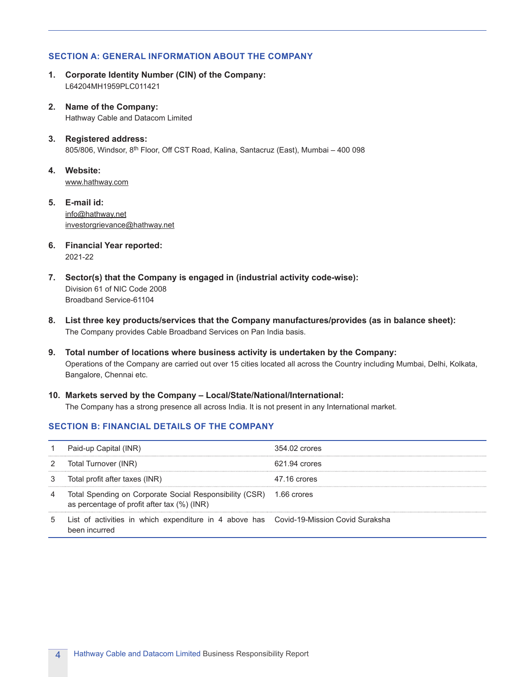# **SECTION A: GENERAL INFORMATION ABOUT THE COMPANY**

- **1. Corporate Identity Number (CIN) of the Company:** L64204MH1959PLC011421
- **2. Name of the Company:** Hathway Cable and Datacom Limited
- **3. Registered address:** 805/806, Windsor, 8<sup>th</sup> Floor, Off CST Road, Kalina, Santacruz (East), Mumbai - 400 098
- **4. Website:** [www.hathway.com](https://www.hathway.com)
- **5. E-mail id:** [info@hathway.net](mailto:info@hathway.net) investorgrievance@hathway.net
- **6. Financial Year reported:** 2021-22
- **7. Sector(s) that the Company is engaged in (industrial activity code-wise):** Division 61 of NIC Code 2008 Broadband Service-61104
- **8. List three key products/services that the Company manufactures/provides (as in balance sheet):** The Company provides Cable Broadband Services on Pan India basis.
- **9. Total number of locations where business activity is undertaken by the Company:** Operations of the Company are carried out over 15 cities located all across the Country including Mumbai, Delhi, Kolkata, Bangalore, Chennai etc.
- **10. Markets served by the Company Local/State/National/International:** The Company has a strong presence all across India. It is not present in any International market.

# **SECTION B: FINANCIAL DETAILS OF THE COMPANY**

|    | Paid-up Capital (INR)                                                                                              | 354.02 crores |
|----|--------------------------------------------------------------------------------------------------------------------|---------------|
|    | Total Turnover (INR)                                                                                               | 621.94 crores |
|    | Total profit after taxes (INR)                                                                                     | 47.16 crores  |
| -4 | Total Spending on Corporate Social Responsibility (CSR) 1.66 crores<br>as percentage of profit after tax (%) (INR) |               |
| 5  | List of activities in which expenditure in 4 above has Covid-19-Mission Covid Suraksha<br>been incurred            |               |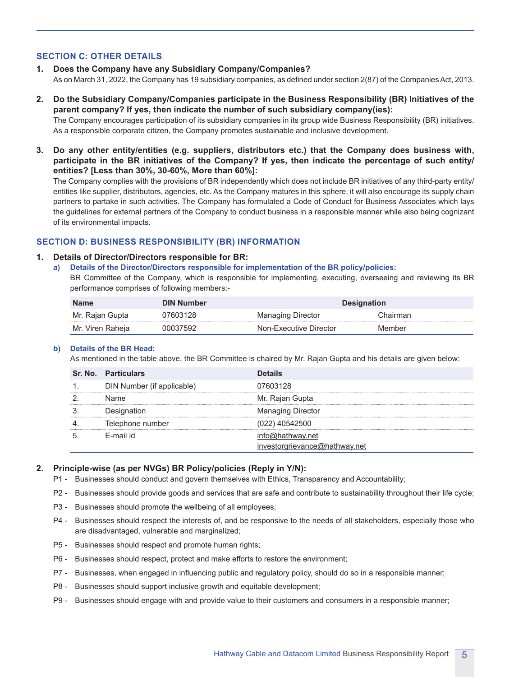# **SECTION C: OTHER DETAILS**

- **1. Does the Company have any Subsidiary Company/Companies?** As on March 31, 2022, the Company has 19 subsidiary companies, as defined under section 2(87) of the Companies Act, 2013.
- **2. Do the Subsidiary Company/Companies participate in the Business Responsibility (BR) Initiatives of the parent company? If yes, then indicate the number of such subsidiary company(ies):** The Company encourages participation of its subsidiary companies in its group wide Business Responsibility (BR) initiatives.

As a responsible corporate citizen, the Company promotes sustainable and inclusive development.

**3. Do any other entity/entities (e.g. suppliers, distributors etc.) that the Company does business with, participate in the BR initiatives of the Company? If yes, then indicate the percentage of such entity/ entities? [Less than 30%, 30-60%, More than 60%]:**

 The Company complies with the provisions of BR independently which does not include BR initiatives of any third-party entity/ entities like supplier, distributors, agencies, etc. As the Company matures in this sphere, it will also encourage its supply chain partners to partake in such activities. The Company has formulated a Code of Conduct for Business Associates which lays the guidelines for external partners of the Company to conduct business in a responsible manner while also being cognizant of its environmental impacts.

# **SECTION D: BUSINESS RESPONSIBILITY (BR) INFORMATION**

#### **1. Details of Director/Directors responsible for BR:**

**a) Details of the Director/Directors responsible for implementation of the BR policy/policies:**

BR Committee of the Company, which is responsible for implementing, executing, overseeing and reviewing its BR performance comprises of following members:-

| <b>Name</b>      | DIN Number | <b>Designation</b>       |          |  |  |
|------------------|------------|--------------------------|----------|--|--|
| Mr. Rajan Gupta  | 07603128   | <b>Managing Director</b> | Chairman |  |  |
| Mr. Viren Raheia | 00037592   | Non-Executive Director   | Member   |  |  |

#### **b) Details of the BR Head:**

As mentioned in the table above, the BR Committee is chaired by Mr. Rajan Gupta and his details are given below:

| <b>Sr. No. Particulars</b> | <b>Details</b>                                |
|----------------------------|-----------------------------------------------|
| DIN Number (if applicable) | 07603128                                      |
| Name                       | Mr. Rajan Gupta                               |
| Designation                | <b>Managing Director</b>                      |
| Telephone number           | (022) 40542500                                |
| F-mail id                  | @hathway.net<br>investorgrievance@hathway.net |

#### **2. Principle-wise (as per NVGs) BR Policy/policies (Reply in Y/N):**

- P1 Businesses should conduct and govern themselves with Ethics, Transparency and Accountability;
- P2 Businesses should provide goods and services that are safe and contribute to sustainability throughout their life cycle;
- P3 Businesses should promote the wellbeing of all employees;
- P4 Businesses should respect the interests of, and be responsive to the needs of all stakeholders, especially those who are disadvantaged, vulnerable and marginalized;
- P5 Businesses should respect and promote human rights;
- P6 Businesses should respect, protect and make efforts to restore the environment;
- P7 Businesses, when engaged in influencing public and regulatory policy, should do so in a responsible manner;
- P8 Businesses should support inclusive growth and equitable development;
- P9 Businesses should engage with and provide value to their customers and consumers in a responsible manner;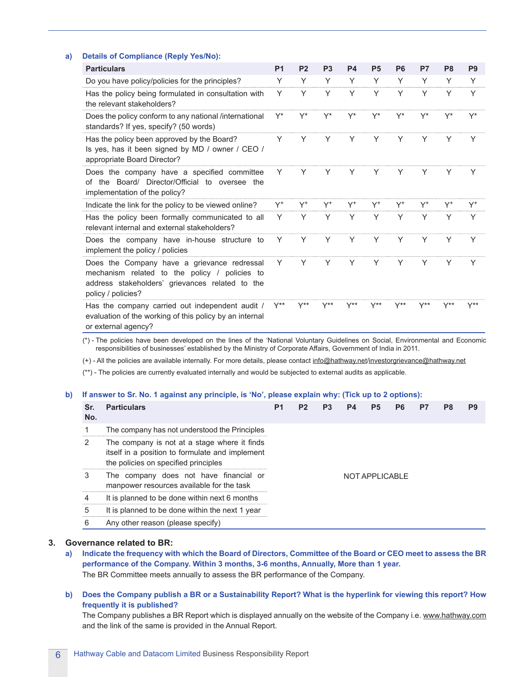#### **a) Details of Compliance (Reply Yes/No):**

| <b>Particulars</b>                                                                                                                                                    | <b>P1</b> | P <sub>2</sub> | P <sub>3</sub>   | <b>P4</b>        | <b>P5</b> | P <sub>6</sub>   | P7    | P <sub>8</sub>   | P <sub>9</sub> |
|-----------------------------------------------------------------------------------------------------------------------------------------------------------------------|-----------|----------------|------------------|------------------|-----------|------------------|-------|------------------|----------------|
| Do you have policy/policies for the principles?                                                                                                                       | Υ         | Υ              | Υ                | Y                | Υ         | Υ                | Y     | Υ                | Y              |
| Has the policy being formulated in consultation with<br>the relevant stakeholders?                                                                                    | Y         | Υ              | Y                | Y                | Υ         | Y                | Y     | Y                | Y              |
| Does the policy conform to any national /international<br>standards? If yes, specify? (50 words)                                                                      | Y*        | Y*             |                  | Y*               | Y*        |                  |       | Y*               | Y*             |
| Has the policy been approved by the Board?<br>Is yes, has it been signed by MD / owner / CEO /<br>appropriate Board Director?                                         | Y         | Y              | Y                | Y                | Y         | Y                | Y     | Y                |                |
| Does the company have a specified committee<br>of the Board/ Director/Official to oversee the<br>implementation of the policy?                                        | Υ         | Y              | Y                | Y                | Y         | Y                | Y     | Y                | Y              |
| Indicate the link for the policy to be viewed online?                                                                                                                 | Y+        | $Y^+$          | Y+               | Y <sup>+</sup>   | $Y^+$     | Y+               | $Y^+$ | $Y^+$            | $Y^+$          |
| Has the policy been formally communicated to all<br>relevant internal and external stakeholders?                                                                      | Υ         | Y              | Υ                | Y                | Υ         | Υ                | Y     | Υ                | Υ              |
| Does the company have in-house structure to<br>implement the policy / policies                                                                                        | Y         | Y              | Y                | Y                | Υ         | Υ                | Y     | Υ                | Y              |
| Does the Company have a grievance redressal<br>mechanism related to the policy / policies to<br>address stakeholders' grievances related to the<br>policy / policies? | Y         | Υ              | Y                | Y                | Υ         | Υ                | Y     | Υ                | Y              |
| Has the company carried out independent audit /<br>evaluation of the working of this policy by an internal<br>or external agency?                                     | Y**       | Y**            | $Y^{\star\star}$ | $Y^{\star\star}$ | Y**       | $Y^{\star\star}$ | Y**   | $Y^{\star\star}$ | Y**            |

 (\*) - The policies have been developed on the lines of the 'National Voluntary Guidelines on Social, Environmental and Economic responsibilities of businesses' established by the Ministry of Corporate Affairs, Government of India in 2011.

(+) - All the policies are available internally. For more details, please contact [info@hathway.net/](mailto:info@hathway.net)investorgrievance@hathway.net

(\*\*) - The policies are currently evaluated internally and would be subjected to external audits as applicable.

#### **b) If answer to Sr. No. 1 against any principle, is 'No', please explain why: (Tick up to 2 options):**

| No. | <b>Particulars</b>                                                                                                                      | P1 | P <sub>2</sub> | P3 | <b>P4</b> | P <sub>5</sub> | P6 | P7 | P8 | P9 |
|-----|-----------------------------------------------------------------------------------------------------------------------------------------|----|----------------|----|-----------|----------------|----|----|----|----|
|     | The company has not understood the Principles                                                                                           |    |                |    |           |                |    |    |    |    |
| 2   | The company is not at a stage where it finds<br>itself in a position to formulate and implement<br>the policies on specified principles |    |                |    |           |                |    |    |    |    |
| 3   | The company does not have financial or<br>manpower resources available for the task                                                     |    |                |    |           | NOT APPLICABLE |    |    |    |    |
| 4   | It is planned to be done within next 6 months                                                                                           |    |                |    |           |                |    |    |    |    |
| 5   | It is planned to be done within the next 1 year                                                                                         |    |                |    |           |                |    |    |    |    |
| 6   | Any other reason (please specify)                                                                                                       |    |                |    |           |                |    |    |    |    |

#### **3. Governance related to BR:**

- **a) Indicate the frequency with which the Board of Directors, Committee of the Board or CEO meet to assess the BR performance of the Company. Within 3 months, 3-6 months, Annually, More than 1 year.** The BR Committee meets annually to assess the BR performance of the Company.
- **b) Does the Company publish a BR or a Sustainability Report? What is the hyperlink for viewing this report? How frequently it is published?**

The Company publishes a BR Report which is displayed annually on the website of the Company i.e. [www.hathway.com](https://www.hathway.com) and the link of the same is provided in the Annual Report.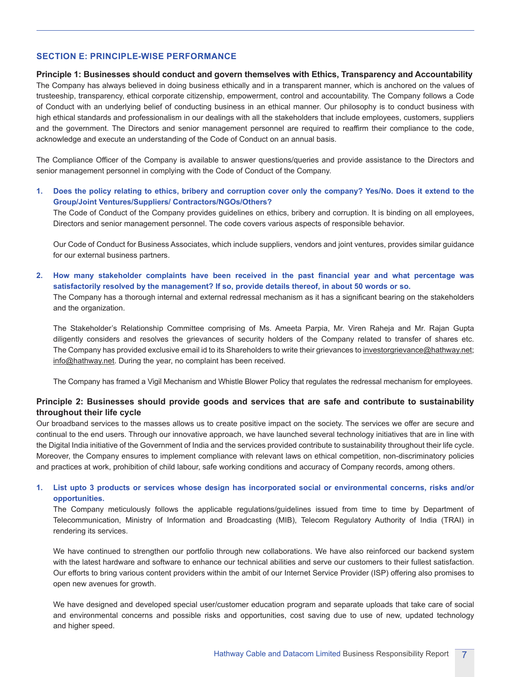## **SECTION E: PRINCIPLE-WISE PERFORMANCE**

#### **Principle 1: Businesses should conduct and govern themselves with Ethics, Transparency and Accountability**

The Company has always believed in doing business ethically and in a transparent manner, which is anchored on the values of trusteeship, transparency, ethical corporate citizenship, empowerment, control and accountability. The Company follows a Code of Conduct with an underlying belief of conducting business in an ethical manner. Our philosophy is to conduct business with high ethical standards and professionalism in our dealings with all the stakeholders that include employees, customers, suppliers and the government. The Directors and senior management personnel are required to reaffirm their compliance to the code, acknowledge and execute an understanding of the Code of Conduct on an annual basis.

The Compliance Officer of the Company is available to answer questions/queries and provide assistance to the Directors and senior management personnel in complying with the Code of Conduct of the Company.

**1. Does the policy relating to ethics, bribery and corruption cover only the company? Yes/No. Does it extend to the Group/Joint Ventures/Suppliers/ Contractors/NGOs/Others?**

 The Code of Conduct of the Company provides guidelines on ethics, bribery and corruption. It is binding on all employees, Directors and senior management personnel. The code covers various aspects of responsible behavior.

 Our Code of Conduct for Business Associates, which include suppliers, vendors and joint ventures, provides similar guidance for our external business partners.

**2. How many stakeholder complaints have been received in the past financial year and what percentage was satisfactorily resolved by the management? If so, provide details thereof, in about 50 words or so.**

The Company has a thorough internal and external redressal mechanism as it has a significant bearing on the stakeholders and the organization.

 The Stakeholder's Relationship Committee comprising of Ms. Ameeta Parpia, Mr. Viren Raheja and Mr. Rajan Gupta diligently considers and resolves the grievances of security holders of the Company related to transfer of shares etc. The Company has provided exclusive email id to its Shareholders to write their grievances to [investorgrievance@hathway.net;](mailto:investorgrievance@hathway.net) info@hathway.net. During the year, no complaint has been received.

The Company has framed a Vigil Mechanism and Whistle Blower Policy that regulates the redressal mechanism for employees.

# **Principle 2: Businesses should provide goods and services that are safe and contribute to sustainability throughout their life cycle**

Our broadband services to the masses allows us to create positive impact on the society. The services we offer are secure and continual to the end users. Through our innovative approach, we have launched several technology initiatives that are in line with the Digital India initiative of the Government of India and the services provided contribute to sustainability throughout their life cycle. Moreover, the Company ensures to implement compliance with relevant laws on ethical competition, non-discriminatory policies and practices at work, prohibition of child labour, safe working conditions and accuracy of Company records, among others.

# **1. List upto 3 products or services whose design has incorporated social or environmental concerns, risks and/or opportunities.**

 The Company meticulously follows the applicable regulations/guidelines issued from time to time by Department of Telecommunication, Ministry of Information and Broadcasting (MIB), Telecom Regulatory Authority of India (TRAI) in rendering its services.

 We have continued to strengthen our portfolio through new collaborations. We have also reinforced our backend system with the latest hardware and software to enhance our technical abilities and serve our customers to their fullest satisfaction. Our efforts to bring various content providers within the ambit of our Internet Service Provider (ISP) offering also promises to open new avenues for growth.

 We have designed and developed special user/customer education program and separate uploads that take care of social and environmental concerns and possible risks and opportunities, cost saving due to use of new, updated technology and higher speed.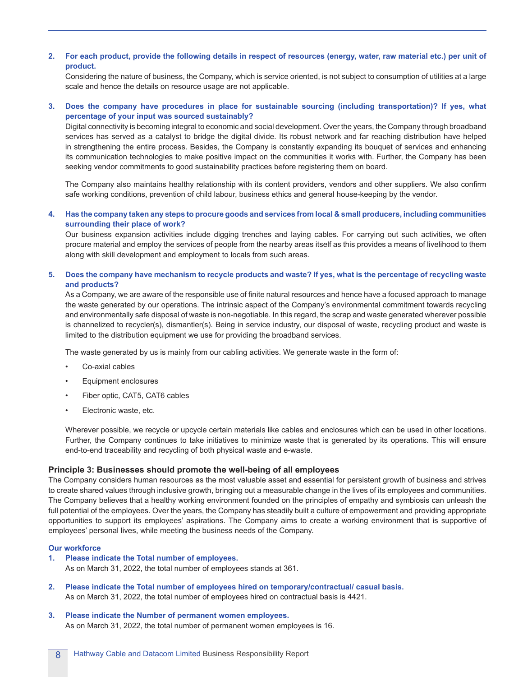## **2. For each product, provide the following details in respect of resources (energy, water, raw material etc.) per unit of product.**

 Considering the nature of business, the Company, which is service oriented, is not subject to consumption of utilities at a large scale and hence the details on resource usage are not applicable.

## **3. Does the company have procedures in place for sustainable sourcing (including transportation)? If yes, what percentage of your input was sourced sustainably?**

 Digital connectivity is becoming integral to economic and social development. Over the years, the Company through broadband services has served as a catalyst to bridge the digital divide. Its robust network and far reaching distribution have helped in strengthening the entire process. Besides, the Company is constantly expanding its bouquet of services and enhancing its communication technologies to make positive impact on the communities it works with. Further, the Company has been seeking vendor commitments to good sustainability practices before registering them on board.

The Company also maintains healthy relationship with its content providers, vendors and other suppliers. We also confirm safe working conditions, prevention of child labour, business ethics and general house-keeping by the vendor.

#### **4. Has the company taken any steps to procure goods and services from local & small producers, including communities surrounding their place of work?**

Our business expansion activities include digging trenches and laying cables. For carrying out such activities, we often procure material and employ the services of people from the nearby areas itself as this provides a means of livelihood to them along with skill development and employment to locals from such areas.

#### **5. Does the company have mechanism to recycle products and waste? If yes, what is the percentage of recycling waste and products?**

As a Company, we are aware of the responsible use of finite natural resources and hence have a focused approach to manage the waste generated by our operations. The intrinsic aspect of the Company's environmental commitment towards recycling and environmentally safe disposal of waste is non-negotiable. In this regard, the scrap and waste generated wherever possible is channelized to recycler(s), dismantler(s). Being in service industry, our disposal of waste, recycling product and waste is limited to the distribution equipment we use for providing the broadband services.

The waste generated by us is mainly from our cabling activities. We generate waste in the form of:

- Co-axial cables
- Equipment enclosures
- Fiber optic, CAT5, CAT6 cables
- Electronic waste, etc.

 Wherever possible, we recycle or upcycle certain materials like cables and enclosures which can be used in other locations. Further, the Company continues to take initiatives to minimize waste that is generated by its operations. This will ensure end-to-end traceability and recycling of both physical waste and e-waste.

#### **Principle 3: Businesses should promote the well-being of all employees**

The Company considers human resources as the most valuable asset and essential for persistent growth of business and strives to create shared values through inclusive growth, bringing out a measurable change in the lives of its employees and communities. The Company believes that a healthy working environment founded on the principles of empathy and symbiosis can unleash the full potential of the employees. Over the years, the Company has steadily built a culture of empowerment and providing appropriate opportunities to support its employees' aspirations. The Company aims to create a working environment that is supportive of employees' personal lives, while meeting the business needs of the Company.

#### **Our workforce**

**1. Please indicate the Total number of employees.**

As on March 31, 2022, the total number of employees stands at 361.

**2. Please indicate the Total number of employees hired on temporary/contractual/ casual basis.** As on March 31, 2022, the total number of employees hired on contractual basis is 4421.

#### **3. Please indicate the Number of permanent women employees.** As on March 31, 2022, the total number of permanent women employees is 16.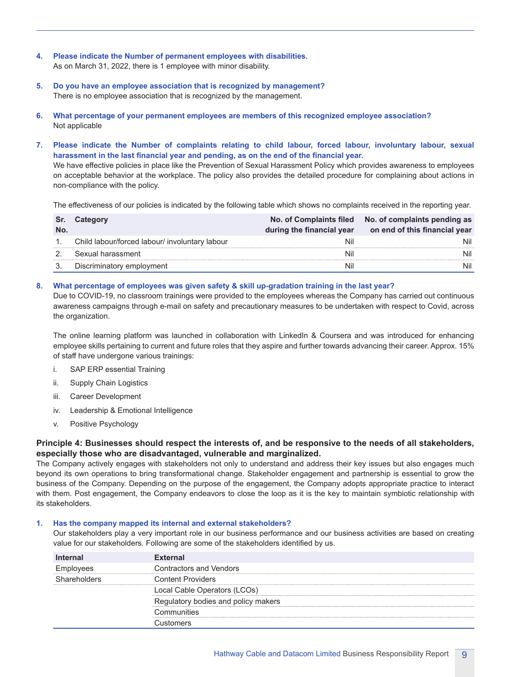- **4. Please indicate the Number of permanent employees with disabilities.** As on March 31, 2022, there is 1 employee with minor disability.
- **5. Do you have an employee association that is recognized by management?** There is no employee association that is recognized by the management.
- **6. What percentage of your permanent employees are members of this recognized employee association?** Not applicable
- **7. Please indicate the Number of complaints relating to child labour, forced labour, involuntary labour, sexual harassment in the last financial year and pending, as on the end of the financial year.**

We have effective policies in place like the Prevention of Sexual Harassment Policy which provides awareness to employees on acceptable behavior at the workplace. The policy also provides the detailed procedure for complaining about actions in non-compliance with the policy.

The effectiveness of our policies is indicated by the following table which shows no complaints received in the reporting year.

| Sr.<br>No. | Category                                       | during the financial year | No. of Complaints filed No. of complaints pending as<br>on end of this financial year |
|------------|------------------------------------------------|---------------------------|---------------------------------------------------------------------------------------|
|            | Child labour/forced labour/ involuntary labour | Nil                       | Nil                                                                                   |
|            | Sexual harassment                              | Nil                       | Nil                                                                                   |
|            | Discriminatory employment                      | Nil                       | Nil                                                                                   |

#### **8. What percentage of employees was given safety & skill up-gradation training in the last year?**

 Due to COVID-19, no classroom trainings were provided to the employees whereas the Company has carried out continuous awareness campaigns through e-mail on safety and precautionary measures to be undertaken with respect to Covid, across the organization.

The online learning platform was launched in collaboration with LinkedIn & Coursera and was introduced for enhancing employee skills pertaining to current and future roles that they aspire and further towards advancing their career. Approx. 15% of staff have undergone various trainings:

- i. SAP ERP essential Training
- ii. Supply Chain Logistics
- iii. Career Development
- iv. Leadership & Emotional Intelligence
- v. Positive Psychology

# **Principle 4: Businesses should respect the interests of, and be responsive to the needs of all stakeholders, especially those who are disadvantaged, vulnerable and marginalized.**

The Company actively engages with stakeholders not only to understand and address their key issues but also engages much beyond its own operations to bring transformational change. Stakeholder engagement and partnership is essential to grow the business of the Company. Depending on the purpose of the engagement, the Company adopts appropriate practice to interact with them. Post engagement, the Company endeavors to close the loop as it is the key to maintain symbiotic relationship with its stakeholders.

#### **1. Has the company mapped its internal and external stakeholders?**

 Our stakeholders play a very important role in our business performance and our business activities are based on creating value for our stakeholders. Following are some of the stakeholders identified by us.

| <b>Internal</b> | <b>External</b>                     |
|-----------------|-------------------------------------|
| Employees       | <b>Contractors and Vendors</b>      |
| Shareholders    | <b>Content Providers</b>            |
|                 | Local Cable Operators (LCOs)        |
|                 | Regulatory bodies and policy makers |
|                 | Communities                         |
|                 | นstomers:                           |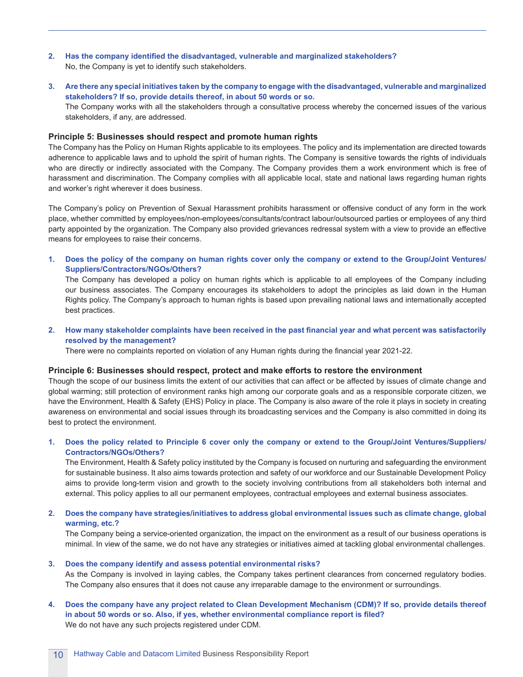- **2. Has the company identified the disadvantaged, vulnerable and marginalized stakeholders?** No, the Company is yet to identify such stakeholders.
- **3. Are there any special initiatives taken by the company to engage with the disadvantaged, vulnerable and marginalized stakeholders? If so, provide details thereof, in about 50 words or so.** The Company works with all the stakeholders through a consultative process whereby the concerned issues of the various stakeholders, if any, are addressed.

#### **Principle 5: Businesses should respect and promote human rights**

The Company has the Policy on Human Rights applicable to its employees. The policy and its implementation are directed towards adherence to applicable laws and to uphold the spirit of human rights. The Company is sensitive towards the rights of individuals who are directly or indirectly associated with the Company. The Company provides them a work environment which is free of harassment and discrimination. The Company complies with all applicable local, state and national laws regarding human rights and worker's right wherever it does business.

The Company's policy on Prevention of Sexual Harassment prohibits harassment or offensive conduct of any form in the work place, whether committed by employees/non-employees/consultants/contract labour/outsourced parties or employees of any third party appointed by the organization. The Company also provided grievances redressal system with a view to provide an effective means for employees to raise their concerns.

**1. Does the policy of the company on human rights cover only the company or extend to the Group/Joint Ventures/ Suppliers/Contractors/NGOs/Others?**

 The Company has developed a policy on human rights which is applicable to all employees of the Company including our business associates. The Company encourages its stakeholders to adopt the principles as laid down in the Human Rights policy. The Company's approach to human rights is based upon prevailing national laws and internationally accepted best practices.

#### 2. How many stakeholder complaints have been received in the past financial year and what percent was satisfactorily **resolved by the management?**

There were no complaints reported on violation of any Human rights during the financial year 2021-22.

#### **Principle 6: Businesses should respect, protect and make efforts to restore the environment**

Though the scope of our business limits the extent of our activities that can affect or be affected by issues of climate change and global warming; still protection of environment ranks high among our corporate goals and as a responsible corporate citizen, we have the Environment, Health & Safety (EHS) Policy in place. The Company is also aware of the role it plays in society in creating awareness on environmental and social issues through its broadcasting services and the Company is also committed in doing its best to protect the environment.

## **1. Does the policy related to Principle 6 cover only the company or extend to the Group/Joint Ventures/Suppliers/ Contractors/NGOs/Others?**

 The Environment, Health & Safety policy instituted by the Company is focused on nurturing and safeguarding the environment for sustainable business. It also aims towards protection and safety of our workforce and our Sustainable Development Policy aims to provide long-term vision and growth to the society involving contributions from all stakeholders both internal and external. This policy applies to all our permanent employees, contractual employees and external business associates.

## **2. Does the company have strategies/initiatives to address global environmental issues such as climate change, global warming, etc.?**

 The Company being a service-oriented organization, the impact on the environment as a result of our business operations is minimal. In view of the same, we do not have any strategies or initiatives aimed at tackling global environmental challenges.

#### **3. Does the company identify and assess potential environmental risks?**

 As the Company is involved in laying cables, the Company takes pertinent clearances from concerned regulatory bodies. The Company also ensures that it does not cause any irreparable damage to the environment or surroundings.

**4. Does the company have any project related to Clean Development Mechanism (CDM)? If so, provide details thereof in about 50 words or so. Also, if yes, whether environmental compliance report is filed?** We do not have any such projects registered under CDM.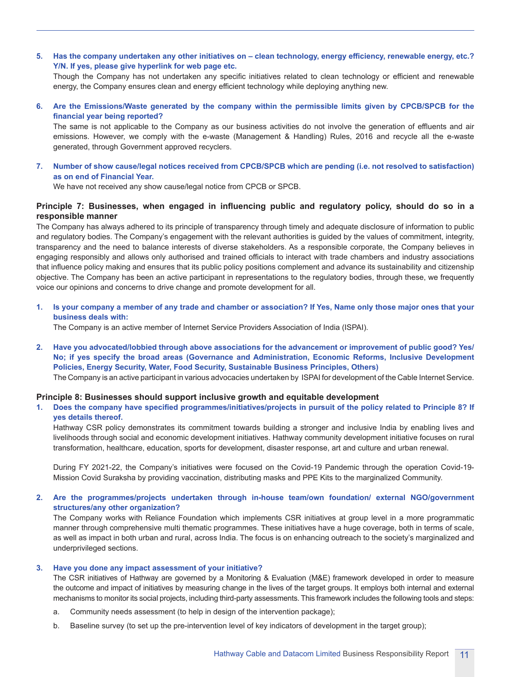5. Has the company undertaken any other initiatives on - clean technology, energy efficiency, renewable energy, etc.? **Y/N. If yes, please give hyperlink for web page etc.**

Though the Company has not undertaken any specific initiatives related to clean technology or efficient and renewable energy, the Company ensures clean and energy efficient technology while deploying anything new.

**6. Are the Emissions/Waste generated by the company within the permissible limits given by CPCB/SPCB for the financial year being reported?**

The same is not applicable to the Company as our business activities do not involve the generation of effluents and air emissions. However, we comply with the e-waste (Management & Handling) Rules, 2016 and recycle all the e-waste generated, through Government approved recyclers.

**7. Number of show cause/legal notices received from CPCB/SPCB which are pending (i.e. not resolved to satisfaction) as on end of Financial Year.**

We have not received any show cause/legal notice from CPCB or SPCB.

## **Principle 7: Businesses, when engaged in influencing public and regulatory policy, should do so in a responsible manner**

The Company has always adhered to its principle of transparency through timely and adequate disclosure of information to public and regulatory bodies. The Company's engagement with the relevant authorities is guided by the values of commitment, integrity, transparency and the need to balance interests of diverse stakeholders. As a responsible corporate, the Company believes in engaging responsibly and allows only authorised and trained officials to interact with trade chambers and industry associations that influence policy making and ensures that its public policy positions complement and advance its sustainability and citizenship objective. The Company has been an active participant in representations to the regulatory bodies, through these, we frequently voice our opinions and concerns to drive change and promote development for all.

**1. Is your company a member of any trade and chamber or association? If Yes, Name only those major ones that your business deals with:**

The Company is an active member of Internet Service Providers Association of India (ISPAI).

**2. Have you advocated/lobbied through above associations for the advancement or improvement of public good? Yes/ No; if yes specify the broad areas (Governance and Administration, Economic Reforms, Inclusive Development Policies, Energy Security, Water, Food Security, Sustainable Business Principles, Others)**

The Company is an active participant in various advocacies undertaken by ISPAI for development of the Cable Internet Service.

#### **Principle 8: Businesses should support inclusive growth and equitable development**

#### 1. Does the company have specified programmes/initiatives/projects in pursuit of the policy related to Principle 8? If **yes details thereof.**

 Hathway CSR policy demonstrates its commitment towards building a stronger and inclusive India by enabling lives and livelihoods through social and economic development initiatives. Hathway community development initiative focuses on rural transformation, healthcare, education, sports for development, disaster response, art and culture and urban renewal.

 During FY 2021-22, the Company's initiatives were focused on the Covid-19 Pandemic through the operation Covid-19- Mission Covid Suraksha by providing vaccination, distributing masks and PPE Kits to the marginalized Community.

#### **2. Are the programmes/projects undertaken through in-house team/own foundation/ external NGO/government structures/any other organization?**

 The Company works with Reliance Foundation which implements CSR initiatives at group level in a more programmatic manner through comprehensive multi thematic programmes. These initiatives have a huge coverage, both in terms of scale, as well as impact in both urban and rural, across India. The focus is on enhancing outreach to the society's marginalized and underprivileged sections.

#### **3. Have you done any impact assessment of your initiative?**

 The CSR initiatives of Hathway are governed by a Monitoring & Evaluation (M&E) framework developed in order to measure the outcome and impact of initiatives by measuring change in the lives of the target groups. It employs both internal and external mechanisms to monitor its social projects, including third-party assessments. This framework includes the following tools and steps:

- a. Community needs assessment (to help in design of the intervention package);
- b. Baseline survey (to set up the pre-intervention level of key indicators of development in the target group);